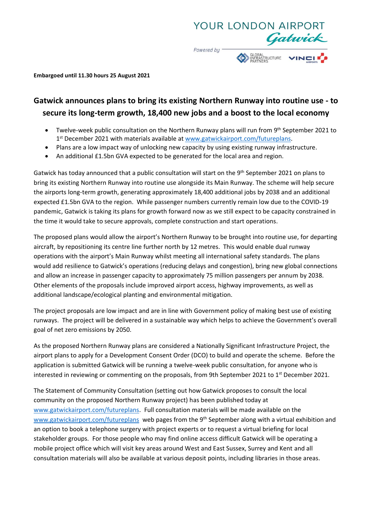

**Embargoed until 11.30 hours 25 August 2021**

# **Gatwick announces plans to bring its existing Northern Runway into routine use - to secure its long-term growth, 18,400 new jobs and a boost to the local economy**

- Twelve-week public consultation on the Northern Runway plans will run from 9<sup>th</sup> September 2021 to 1<sup>st</sup> December 2021 with materials available a[t www.gatwickairport.com/futureplans.](http://www.gatwickairport.com/futureplans)
- Plans are a low impact way of unlocking new capacity by using existing runway infrastructure.
- An additional £1.5bn GVA expected to be generated for the local area and region.

Gatwick has today announced that a public consultation will start on the 9<sup>th</sup> September 2021 on plans to bring its existing Northern Runway into routine use alongside its Main Runway. The scheme will help secure the airports long-term growth, generating approximately 18,400 additional jobs by 2038 and an additional expected £1.5bn GVA to the region. While passenger numbers currently remain low due to the COVID-19 pandemic, Gatwick is taking its plans for growth forward now as we still expect to be capacity constrained in the time it would take to secure approvals, complete construction and start operations.

The proposed plans would allow the airport's Northern Runway to be brought into routine use, for departing aircraft, by repositioning its centre line further north by 12 metres. This would enable dual runway operations with the airport's Main Runway whilst meeting all international safety standards. The plans would add resilience to Gatwick's operations (reducing delays and congestion), bring new global connections and allow an increase in passenger capacity to approximately 75 million passengers per annum by 2038. Other elements of the proposals include improved airport access, highway improvements, as well as additional landscape/ecological planting and environmental mitigation.

The project proposals are low impact and are in line with Government policy of making best use of existing runways. The project will be delivered in a sustainable way which helps to achieve the Government's overall goal of net zero emissions by 2050.

As the proposed Northern Runway plans are considered a Nationally Significant Infrastructure Project, the airport plans to apply for a Development Consent Order (DCO) to build and operate the scheme. Before the application is submitted Gatwick will be running a twelve-week public consultation, for anyone who is interested in reviewing or commenting on the proposals, from 9th September 2021 to 1<sup>st</sup> December 2021.

The Statement of Community Consultation (setting out how Gatwick proposes to consult the local community on the proposed Northern Runway project) has been published today at [www.gatwickairport.com/futureplans.](http://www.gatwickairport.com/futureplans) Full consultation materials will be made available on the [www.gatwickairport.com/futureplans](http://www.gatwickairport.com/futureplans) web pages from the 9<sup>th</sup> September along with a virtual exhibition and an option to book a telephone surgery with project experts or to request a virtual briefing for local stakeholder groups. For those people who may find online access difficult Gatwick will be operating a mobile project office which will visit key areas around West and East Sussex, Surrey and Kent and all consultation materials will also be available at various deposit points, including libraries in those areas.